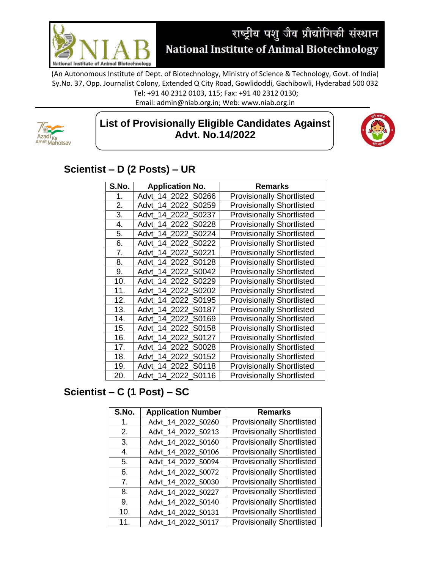

(An Autonomous Institute of Dept. of Biotechnology, Ministry of Science & Technology, Govt. of India) Sy.No. 37, Opp. Journalist Colony, Extended Q City Road, Gowlidoddi, Gachibowli, Hyderabad 500 032

Tel: +91 40 2312 0103, 115; Fax: +91 40 2312 0130;

Email: admin@niab.org.in; Web: www.niab.org.in



## **List of Provisionally Eligible Candidates Against Advt. No.14/2022**



## **Scientist – D (2 Posts) – UR**

| S.No. | <b>Application No.</b>   | <b>Remarks</b>                   |
|-------|--------------------------|----------------------------------|
| 1.    | Advt 14 2022 S0266       | <b>Provisionally Shortlisted</b> |
| 2.    | Advt 14 2022 S0259       | <b>Provisionally Shortlisted</b> |
| 3.    | Advt 14 2022 S0237       | <b>Provisionally Shortlisted</b> |
| 4.    | Advt 14 2022 S0228       | <b>Provisionally Shortlisted</b> |
| 5.    | Advt 14 2022 S0224       | <b>Provisionally Shortlisted</b> |
| 6.    | Advt 14 2022 S0222       | <b>Provisionally Shortlisted</b> |
| 7.    | Advt 14 2022 S0221       | <b>Provisionally Shortlisted</b> |
| 8.    | Advt 14 2022 S0128       | <b>Provisionally Shortlisted</b> |
| 9.    | Advt 14 2022 S0042       | <b>Provisionally Shortlisted</b> |
| 10.   | Advt 14 2022 S0229       | <b>Provisionally Shortlisted</b> |
| 11.   | Advt 14 2022<br>S0202    | <b>Provisionally Shortlisted</b> |
| 12.   | S0195<br>14 2022<br>Advt | <b>Provisionally Shortlisted</b> |
| 13.   | Advt 14 2022 S0187       | <b>Provisionally Shortlisted</b> |
| 14.   | Advt 14 2022 S0169       | <b>Provisionally Shortlisted</b> |
| 15.   | Advt 14 2022<br>S0158    | <b>Provisionally Shortlisted</b> |
| 16.   | 14 2022<br>S0127<br>Advt | <b>Provisionally Shortlisted</b> |
| 17.   | 14 2022<br>S0028<br>Advt | <b>Provisionally Shortlisted</b> |
| 18.   | 14 2022<br>Advt<br>S0152 | <b>Provisionally Shortlisted</b> |
| 19.   | 14 2022<br>S0118<br>Advt | <b>Provisionally Shortlisted</b> |
| 20.   | 14 2022 S0116<br>Advt    | <b>Provisionally Shortlisted</b> |

## **Scientist – C (1 Post) – SC**

| S.No.          | <b>Application Number</b> | <b>Remarks</b>                   |
|----------------|---------------------------|----------------------------------|
| 1.             | Advt 14 2022 S0260        | <b>Provisionally Shortlisted</b> |
| 2.             | Advt 14 2022 S0213        | <b>Provisionally Shortlisted</b> |
| 3.             | Advt 14 2022 S0160        | <b>Provisionally Shortlisted</b> |
| 4.             | Advt_14_2022_S0106        | <b>Provisionally Shortlisted</b> |
| 5.             | Advt_14_2022_S0094        | <b>Provisionally Shortlisted</b> |
| 6.             | Advt 14 2022 S0072        | <b>Provisionally Shortlisted</b> |
| 7 <sub>1</sub> | Advt 14 2022 S0030        | <b>Provisionally Shortlisted</b> |
| 8.             | Advt 14 2022 S0227        | <b>Provisionally Shortlisted</b> |
| 9.             | Advt_14_2022_S0140        | <b>Provisionally Shortlisted</b> |
| 10.            | Advt_14_2022_S0131        | <b>Provisionally Shortlisted</b> |
| 11.            | Advt 14 2022 S0117        | <b>Provisionally Shortlisted</b> |